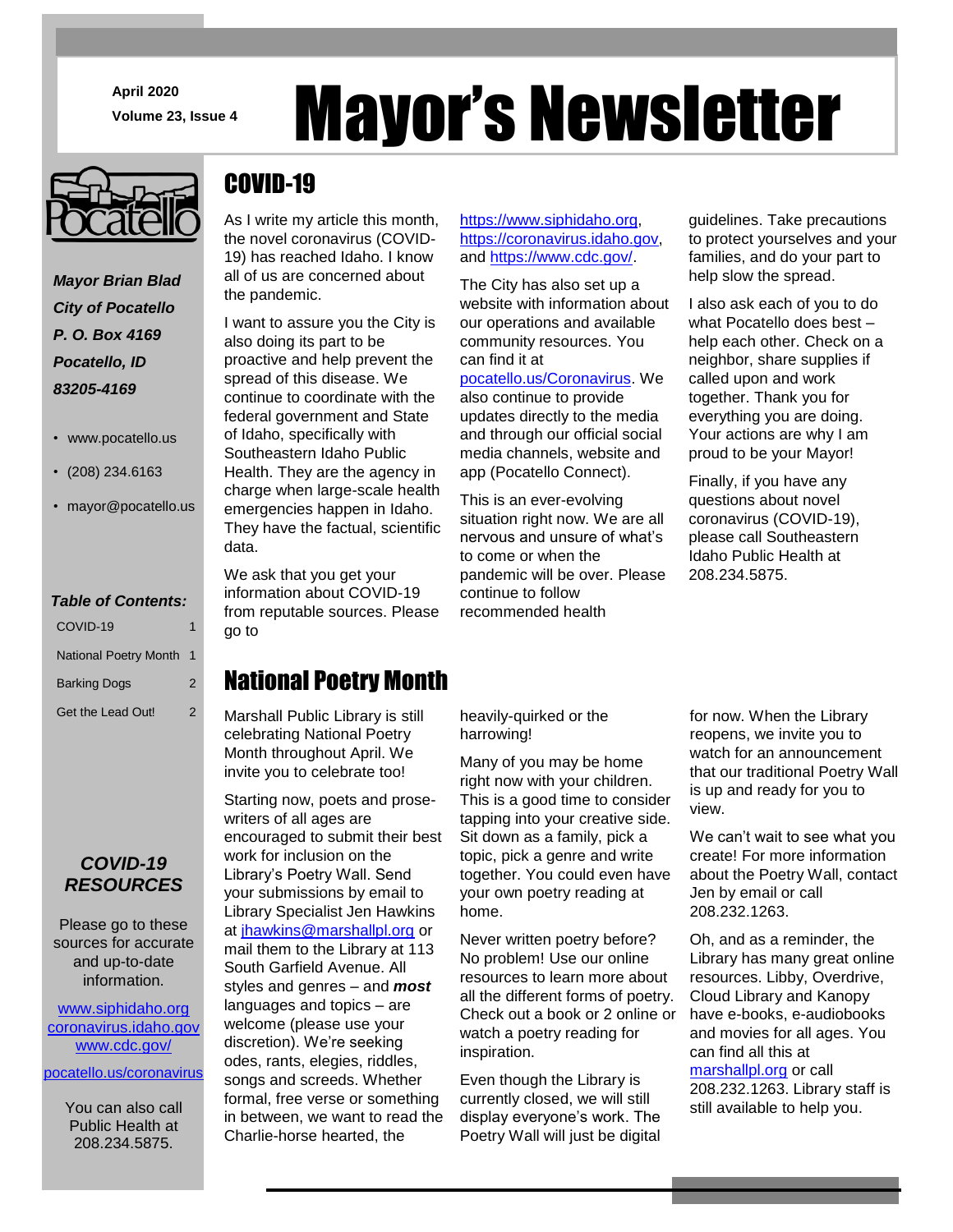**April**J**2020**

*Mayor Brian Blad City of Pocatello P. O. Box 4169 Pocatello, ID 83205-4169*

- www.pocatello.us
- (208) 234.6163
- mayor@pocatello.us

### *Table of Contents:*

| COVID-19                     | 1                |
|------------------------------|------------------|
| <b>National Poetry Month</b> | $\blacksquare$ 1 |
| <b>Barking Dogs</b>          | $\mathcal{P}$    |
| Get the Lead Out!            | 2                |

## *COVID-19 RESOURCES*

Please go to these sources for accurate and up-to-date information.

[www.siphidaho.org](http://www.siphidaho.org/) [coronavirus.idaho.gov](:/coronavirus.idaho.gov) [www.cdc.gov/](http://www.cdc.gov/)

[pocatello.us/coronavirus](https://www.pocatello.us/773/COVID-19Coronavirus)

You can also call Public Health at 208.234.5875.

# April 2020<br>Volume 23, Issue 4<br>**Mayor'S Newsletter**

# COVID-19

As I write my article this month, the novel coronavirus (COVID-19) has reached Idaho. I know all of us are concerned about the pandemic.

I want to assure you the City is also doing its part to be proactive and help prevent the spread of this disease. We continue to coordinate with the federal government and State of Idaho, specifically with Southeastern Idaho Public Health. They are the agency in charge when large-scale health emergencies happen in Idaho. They have the factual, scientific data.

We ask that you get your information about COVID-19 from reputable sources. Please go to

# National Poetry Month

Marshall Public Library is still celebrating National Poetry Month throughout April. We invite you to celebrate too!

Starting now, poets and prosewriters of all ages are encouraged to submit their best work for inclusion on the Library's Poetry Wall. Send your submissions by email to Library Specialist Jen Hawkins at [jhawkins@marshallpl.org](mailto:jhawkins@marshallpl.org) or mail them to the Library at 113 South Garfield Avenue. All styles and genres – and *most* languages and topics – are welcome (please use your discretion). We're seeking odes, rants, elegies, riddles, songs and screeds. Whether formal, free verse or something in between, we want to read the Charlie-horse hearted, the

[https://www.siphidaho.org,](https://www.siphidaho.org/) [https://coronavirus.idaho.gov,](https://coronavirus.idaho.gov/) and [https://www.cdc.gov/.](https://www.cdc.gov/)

The City has also set up a website with information about our operations and available community resources. You can find it at

[pocatello.us/Coronavirus.](https://www.pocatello.us/773/COVID-19Coronavirus) We also continue to provide updates directly to the media and through our official social media channels, website and app (Pocatello Connect).

This is an ever-evolving situation right now. We are all nervous and unsure of what's to come or when the pandemic will be over. Please continue to follow recommended health

guidelines. Take precautions to protect yourselves and your families, and do your part to help slow the spread.

I also ask each of you to do what Pocatello does best – help each other. Check on a neighbor, share supplies if called upon and work together. Thank you for everything you are doing. Your actions are why I am proud to be your Mayor!

Finally, if you have any questions about novel coronavirus (COVID-19), please call Southeastern Idaho Public Health at 208.234.5875.

heavily-quirked or the harrowing!

Many of you may be home right now with your children. This is a good time to consider tapping into your creative side. Sit down as a family, pick a topic, pick a genre and write together. You could even have your own poetry reading at home.

Never written poetry before? No problem! Use our online resources to learn more about all the different forms of poetry. Check out a book or 2 online or watch a poetry reading for inspiration.

Even though the Library is currently closed, we will still display everyone's work. The Poetry Wall will just be digital for now. When the Library reopens, we invite you to watch for an announcement that our traditional Poetry Wall is up and ready for you to view.

We can't wait to see what you create! For more information about the Poetry Wall, contact Jen by email or call 208.232.1263.

Oh, and as a reminder, the Library has many great online resources. Libby, Overdrive, Cloud Library and Kanopy have e-books, e-audiobooks and movies for all ages. You can find all this at [marshallpl.org](http://www.marshallpl.org/) or call 208.232.1263. Library staff is still available to help you.